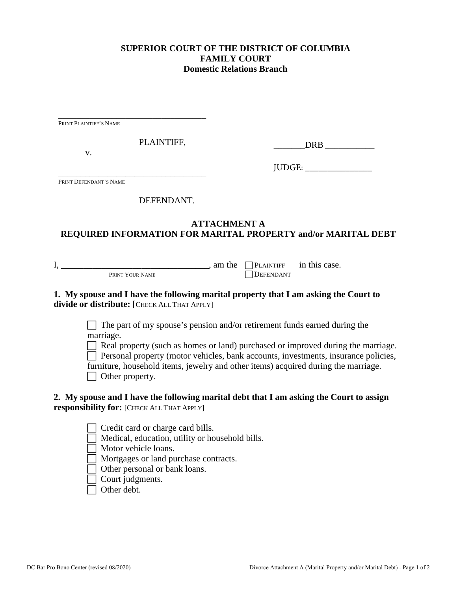### **SUPERIOR COURT OF THE DISTRICT OF COLUMBIA FAMILY COURT Domestic Relations Branch**

\_\_\_\_\_\_\_\_\_\_\_\_\_\_\_\_\_\_\_\_\_\_\_\_\_\_\_\_\_\_\_\_\_ PRINT PLAINTIFF'S NAME

PLAINTIFF,

v.

DRB  $\Box$ 

JUDGE: \_\_\_\_\_\_\_\_\_\_\_\_\_\_\_

\_\_\_\_\_\_\_\_\_\_\_\_\_\_\_\_\_\_\_\_\_\_\_\_\_\_\_\_\_\_\_\_\_ PRINT DEFENDANT'S NAME

### DEFENDANT.

# **ATTACHMENT A REQUIRED INFORMATION FOR MARITAL PROPERTY and/or MARITAL DEBT**

PRINT YOUR NAME

 $I, \underline{\hspace{1cm}}$  PRINT YOUR NAME and the  $\Box$  PLAINTIFF in this case.

### **1. My spouse and I have the following marital property that I am asking the Court to divide or distribute:** [CHECK ALL THAT APPLY]

 $\Box$  The part of my spouse's pension and/or retirement funds earned during the marriage.

 $\Box$  Real property (such as homes or land) purchased or improved during the marriage.  $\Box$  Personal property (motor vehicles, bank accounts, investments, insurance policies,

furniture, household items, jewelry and other items) acquired during the marriage.

 $\Box$  Other property.

## **2. My spouse and I have the following marital debt that I am asking the Court to assign responsibility for:** [CHECK ALL THAT APPLY]

Credit card or charge card bills.

Medical, education, utility or household bills.

Motor vehicle loans.

Mortgages or land purchase contracts.

Other personal or bank loans.

Court judgments.

Other debt.